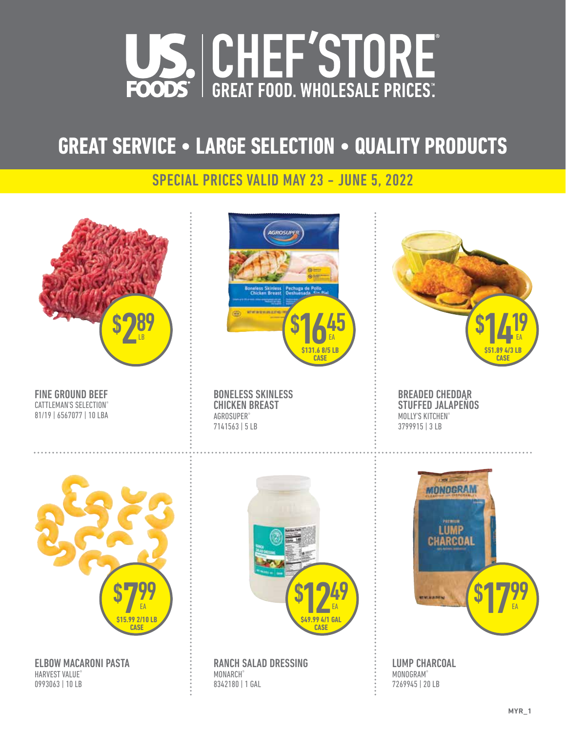

## **GREAT SERVICE • LARGE SELECTION • QUALITY PRODUCTS**

#### SPECIAL PRICES VALID MAY 23 - JUNE 5, 2022

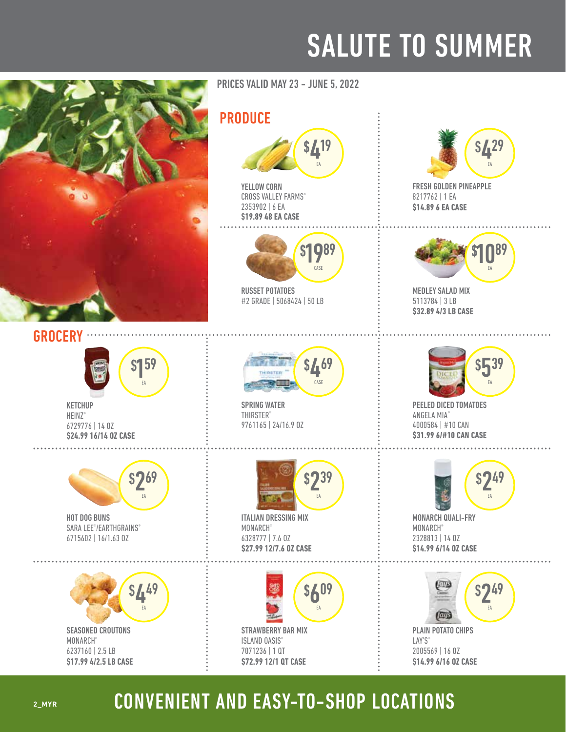## SALUTE TO SUMMER





**KETCHUP** HEINZ<sup>®</sup> 6729776 | 14 OZ **\$24.99 16/14 OZ CASE** 



HOT DOG BUNS SARA LEE®/EARTHGRAINS® 6715602 | 16/1.63 OZ



SEASONED CROUTONS MONARCH® 6237160 | 2.5 LB **\$17.99 4/2.5 LB CASE**  PRICES VALID MAY 23 - JUNE 5, 2022

#### PRODUCE



YELLOW CORN CROSS VALLEY FARMS® 2353902 | 6 EA **\$19.89 48 EA CASE** 



RUSSET POTATOES #2 GRADE | 5068424 | 50 LB



SPRING WATER **THIRSTER®** 9761165 | 24/16.9 OZ



ITALIAN DRESSING MIX MONARCH® 6328777 | 7.6 OZ **\$27.99 12/7.6 OZ CASE** 





FRESH GOLDEN PINEAPPLE 8217762 | 1 EA **\$14.89 6 EA CASE** 



MEDLEY SALAD MIX 5113784 | 3 LB **\$32.89 4/3 LB CASE** 



PEELED DICED TOMATOES ANGELA MIA® 4000584 | #10 CAN **\$31.99 6/#10 CAN CASE** 



MONARCH QUALI-FRY **MONARCH®** 2328813 | 14 OZ **\$14.99 6/14 OZ CASE** 

**\$14.99 6/16 OZ CASE** 



## CONVENIENT AND EASY-TO-SHOP LOCATIONS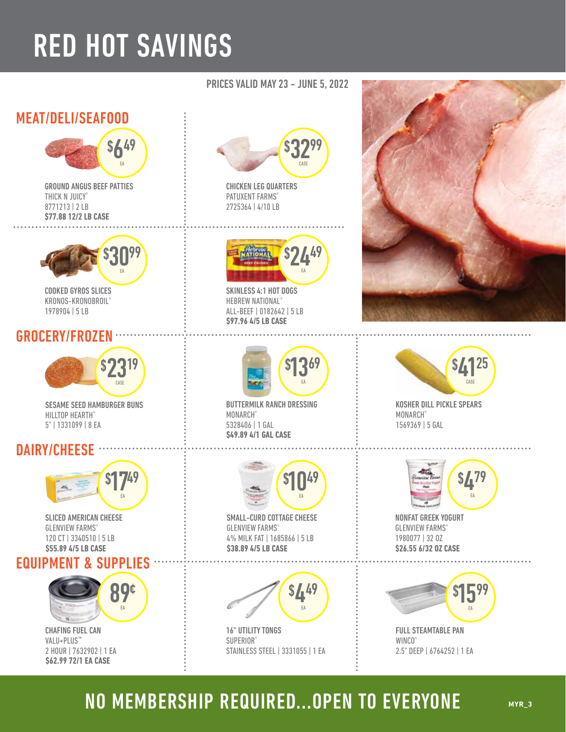# RED HOT SAVINGS

#### MEAT/DELI/SEAFOOD



GROUND ANGUS BEEF PATTIES THICK N JUICY® 8771213 | 2 LB **\$77.88 12/2 LB CASE** 



COOKED GYROS SLICES KRONOS-KRONOBROIL® 1978904 | 5 LB

#### GROCERY/FROZEN



SESAME SEED HAMBURGER BUNS HILLTOP HEARTH® 5" | 1331099 | 8 EA

#### DAIRY/CHEESE



SLICED AMERICAN CHEESE **GLENVIEW FARMS®** 120 CT | 3340510 | 5 LB **\$55.89 4/5 LB CASE** 

#### EQUIPMENT & SUPPLIES



CHAFING FUEL CAN VALU+PLUS™ 2 HOUR | 7632902 | 1 EA **\$62.99 72/1 EA CASE** 

#### MONARCH® 5328406 | 1 GAL **\$49.89 4/1 GAL CASE**



SMALL-CURD COTTAGE CHEESE **GLENVIEW FARMS®** 4% MILK FAT | 1685866 | 5 LB  $10^{49}$ EA

**\$38.89 4/5 LB CASE** 

\$

BUTTERMILK RANCH DRESSING

PRICES VALID MAY 23 - JUNE 5, 2022

\$

\$

2449

EA

\$ 1369

EA

3299 CASE

CHICKEN LEG QUARTERS PATUXENT FARMS® 2725364 | 4/10 LB

SKINLESS 4:1 HOT DOGS HEBREW NATIONAL® ALL-BEEF | 0182642 | 5 LB

**\$97.96 4/5 LB CASE** 



16" UTILITY TONGS SUPERIOR® STAINLESS STEEL | 3331055 | 1 EA





KOSHER DILL PICKLE SPEARS MONARCH® 1569369 | 5 GAL



NONFAT GREEK YOGURT **GLENVIEW FARMS®** 1980077 | 32 OZ **\$26.55 6/32 OZ CASE** 



FULL STEAMTABLE PAN WINCO<sup>®</sup> 2.5" DEEP | 6764252 | 1 EA

## NO MEMBERSHIP REQUIRED...OPEN TO EVERYONE